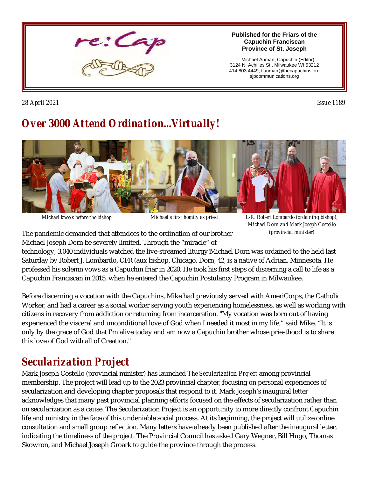

**Published for the Friars of the Capuchin Franciscan Province of St. Joseph**

TL Michael Auman, Capuchin (Editor) 3124 N. Achilles St., Milwaukee WI 53212 414.803.4449; tlauman@thecapuchins.org sjpcommunications.org

*28 April 2021 Issue 1189* 

# *Over 3000 Attend Ordination...Virtually!*



*Michael kneels before the bishop Michael's first homily as priest L-R: Robert Lombardo (ordaining bishop), Michael Dorn and Mark Joseph Costello (provincial minister)*

The pandemic demanded that attendees to the ordination of our brother Michael Joseph Dorn be severely limited. Through the "miracle" of

technology, 3,040 individuals watched the live-streamed liturgy!Michael Dorn was ordained to the held last Saturday by Robert J. Lombardo, CFR (aux bishop, Chicago. Dorn, 42, is a native of Adrian, Minnesota. He professed his solemn vows as a Capuchin friar in 2020. He took his first steps of discerning a call to life as a Capuchin Franciscan in 2015, when he entered the Capuchin Postulancy Program in Milwaukee.

Before discerning a vocation with the Capuchins, Mike had previously served with AmeriCorps, the Catholic Worker, and had a career as a social worker serving youth experiencing homelessness, as well as working with citizens in recovery from addiction or returning from incarceration. "My vocation was born out of having experienced the visceral and unconditional love of God when I needed it most in my life," said Mike. "It is only by the grace of God that I'm alive today and am now a Capuchin brother whose priesthood is to share this love of God with all of Creation."

## *Secularization Project*

Mark Joseph Costello (provincial minister) has launched *The Secularization Project* among provincial membership. The project will lead up to the 2023 provincial chapter, focusing on personal experiences of secularization and developing chapter proposals that respond to it. Mark Joseph's inaugural letter acknowledges that many past provincial planning efforts focused on the effects of secularization rather than on secularization as a cause. The Secularization Project is an opportunity to more directly confront Capuchin life and ministry in the face of this undeniable social process. At its beginning, the project will utilize online consultation and small group reflection. Many letters have already been published after the inaugural letter, indicating the timeliness of the project. The Provincial Council has asked Gary Wegner, Bill Hugo, Thomas Skowron, and Michael Joseph Groark to guide the province through the process.